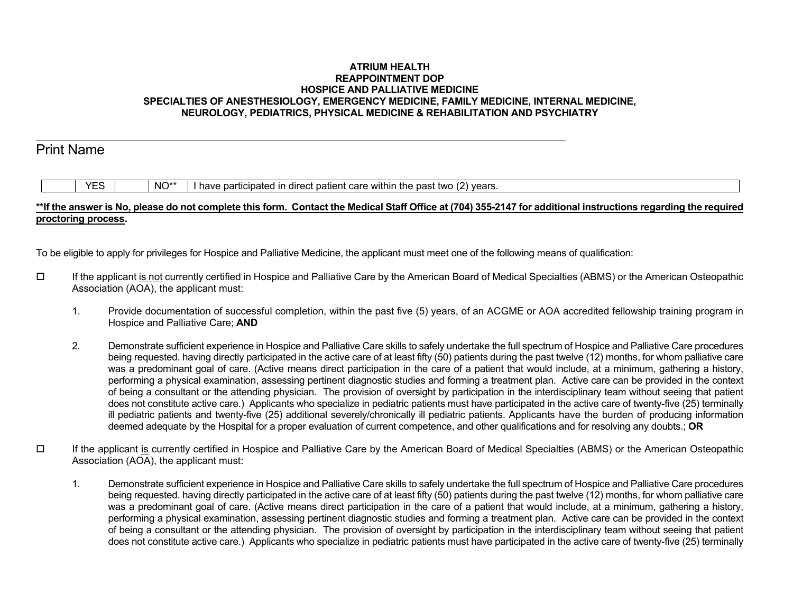## **ATRIUM HEALTH REAPPOINTMENT DOP HOSPICE AND PALLIATIVE MEDICINE SPECIALTIES OF ANESTHESIOLOGY, EMERGENCY MEDICINE, FAMILY MEDICINE, INTERNAL MEDICINE, NEUROLOGY, PEDIATRICS, PHYSICAL MEDICINE & REHABILITATION AND PSYCHIATRY**

## Print Name

YES  $\parallel$  NO<sup>\*\*</sup> I have participated in direct patient care within the past two (2) years.

## **\*\*If the answer is No, please do not complete this form. Contact the Medical Staff Office at (704) 355-2147 for additional instructions regarding the required proctoring process.**

To be eligible to apply for privileges for Hospice and Palliative Medicine, the applicant must meet one of the following means of qualification:

- If the applicant is not currently certified in Hospice and Palliative Care by the American Board of Medical Specialties (ABMS) or the American Osteopathic Association (AOA), the applicant must:
	- 1. Provide documentation of successful completion, within the past five (5) years, of an ACGME or AOA accredited fellowship training program in Hospice and Palliative Care; **AND**
	- 2. Demonstrate sufficient experience in Hospice and Palliative Care skills to safely undertake the full spectrum of Hospice and Palliative Care procedures being requested. having directly participated in the active care of at least fifty (50) patients during the past twelve (12) months, for whom palliative care was a predominant goal of care. (Active means direct participation in the care of a patient that would include, at a minimum, gathering a history, performing a physical examination, assessing pertinent diagnostic studies and forming a treatment plan. Active care can be provided in the context of being a consultant or the attending physician. The provision of oversight by participation in the interdisciplinary team without seeing that patient does not constitute active care.) Applicants who specialize in pediatric patients must have participated in the active care of twenty-five (25) terminally ill pediatric patients and twenty-five (25) additional severely/chronically ill pediatric patients. Applicants have the burden of producing information deemed adequate by the Hospital for a proper evaluation of current competence, and other qualifications and for resolving any doubts.; **OR**
- $\Box$  If the applicant is currently certified in Hospice and Palliative Care by the American Board of Medical Specialties (ABMS) or the American Osteopathic Association (AOA), the applicant must:
	- 1. Demonstrate sufficient experience in Hospice and Palliative Care skills to safely undertake the full spectrum of Hospice and Palliative Care procedures being requested. having directly participated in the active care of at least fifty (50) patients during the past twelve (12) months, for whom palliative care was a predominant goal of care. (Active means direct participation in the care of a patient that would include, at a minimum, gathering a history, performing a physical examination, assessing pertinent diagnostic studies and forming a treatment plan. Active care can be provided in the context of being a consultant or the attending physician. The provision of oversight by participation in the interdisciplinary team without seeing that patient does not constitute active care.) Applicants who specialize in pediatric patients must have participated in the active care of twenty-five (25) terminally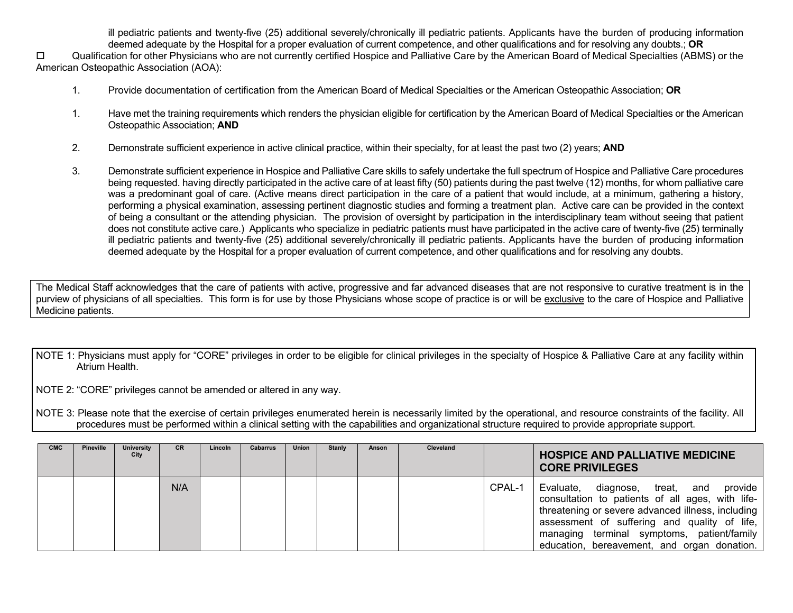ill pediatric patients and twenty-five (25) additional severely/chronically ill pediatric patients. Applicants have the burden of producing information deemed adequate by the Hospital for a proper evaluation of current competence, and other qualifications and for resolving any doubts.; **OR**

 Qualification for other Physicians who are not currently certified Hospice and Palliative Care by the American Board of Medical Specialties (ABMS) or the American Osteopathic Association (AOA):

- 1. Provide documentation of certification from the American Board of Medical Specialties or the American Osteopathic Association; **OR**
- 1. Have met the training requirements which renders the physician eligible for certification by the American Board of Medical Specialties or the American Osteopathic Association; **AND**
- 2. Demonstrate sufficient experience in active clinical practice, within their specialty, for at least the past two (2) years; **AND**
- 3. Demonstrate sufficient experience in Hospice and Palliative Care skills to safely undertake the full spectrum of Hospice and Palliative Care procedures being requested. having directly participated in the active care of at least fifty (50) patients during the past twelve (12) months, for whom palliative care was a predominant goal of care. (Active means direct participation in the care of a patient that would include, at a minimum, gathering a history, performing a physical examination, assessing pertinent diagnostic studies and forming a treatment plan. Active care can be provided in the context of being a consultant or the attending physician. The provision of oversight by participation in the interdisciplinary team without seeing that patient does not constitute active care.) Applicants who specialize in pediatric patients must have participated in the active care of twenty-five (25) terminally ill pediatric patients and twenty-five (25) additional severely/chronically ill pediatric patients. Applicants have the burden of producing information deemed adequate by the Hospital for a proper evaluation of current competence, and other qualifications and for resolving any doubts.

The Medical Staff acknowledges that the care of patients with active, progressive and far advanced diseases that are not responsive to curative treatment is in the purview of physicians of all specialties. This form is for use by those Physicians whose scope of practice is or will be exclusive to the care of Hospice and Palliative Medicine patients.

NOTE 1: Physicians must apply for "CORE" privileges in order to be eligible for clinical privileges in the specialty of Hospice & Palliative Care at any facility within Atrium Health.

NOTE 2: "CORE" privileges cannot be amended or altered in any way.

NOTE 3: Please note that the exercise of certain privileges enumerated herein is necessarily limited by the operational, and resource constraints of the facility. All procedures must be performed within a clinical setting with the capabilities and organizational structure required to provide appropriate support.

| <b>CMC</b> | Pineville | <b>University</b><br>City | CR. | Lincoln | Cabarrus | Union | <b>Stanly</b> | Anson | Cleveland |        | <b>HOSPICE AND PALLIATIVE MEDICINE</b><br><b>CORE PRIVILEGES</b>                                                                                                                                                                                                                                |
|------------|-----------|---------------------------|-----|---------|----------|-------|---------------|-------|-----------|--------|-------------------------------------------------------------------------------------------------------------------------------------------------------------------------------------------------------------------------------------------------------------------------------------------------|
|            |           |                           | N/A |         |          |       |               |       |           | CPAL-1 | Evaluate, diagnose, treat, and<br>provide<br>consultation to patients of all ages, with life-<br>threatening or severe advanced illness, including<br>assessment of suffering and quality of life,<br>managing terminal symptoms, patient/family<br>education, bereavement, and organ donation. |